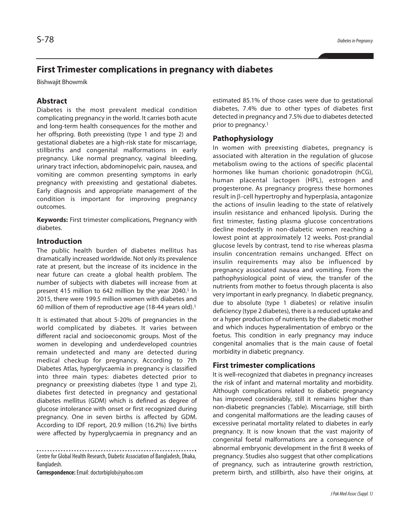# **First Trimester complications in pregnancy with diabetes**

Bishwajit Bhowmik

## **Abstract**

Diabetes is the most prevalent medical condition complicating pregnancy in the world. It carries both acute and long-term health consequences for the mother and her offspring. Both preexisting (type 1 and type 2) and gestational diabetes are a high-risk state for miscarriage, stillbirths and congenital malformations in early pregnancy. Like normal pregnancy, vaginal bleeding, urinary tract infection, abdominopelvic pain, nausea, and vomiting are common presenting symptoms in early pregnancy with preexisting and gestational diabetes. Early diagnosis and appropriate management of the condition is important for improving pregnancy outcomes.

**Keywords:** First trimester complications, Pregnancy with diabetes.

### **Introduction**

The public health burden of diabetes mellitus has dramatically increased worldwide. Not only its prevalence rate at present, but the increase of its incidence in the near future can create a global health problem. The number of subjects with diabetes will increase from at present 415 million to 642 million by the year 2040. <sup>1</sup> In 2015, there were 199.5 million women with diabetes and 60 million of them of reproductive age (18-44 years old). 1

It is estimated that about 5-20% of pregnancies in the world complicated by diabetes. It varies between different racial and socioeconomic groups. Most of the women in developing and underdeveloped countries remain undetected and many are detected during medical checkup for pregnancy. According to 7th Diabetes Atlas, hyperglycaemia in pregnancy is classified into three main types: diabetes detected prior to pregnancy or preexisting diabetes (type 1 and type 2), diabetes first detected in pregnancy and gestational diabetes mellitus (GDM) which is defined as degree of glucose intolerance with onset or first recognized during pregnancy. One in seven births is affected by GDM. According to IDF report, 20.9 million (16.2%) live births were affected by hyperglycaemia in pregnancy and an

Centre for Global Health Research, Diabetic Association of Bangladesh, Dhaka, Bangladesh.

**Correspondence:**Email:doctorbiplob@yahoo.com

estimated 85.1% of those cases were due to gestational diabetes, 7.4% due to other types of diabetes first detected in pregnancy and 7.5% due to diabetes detected prior to pregnancy. 1

### **Pathophysiology**

In women with preexisting diabetes, pregnancy is associated with alteration in the regulation of glucose metabolism owing to the actions of specific placental hormones like human chorionic gonadotropin (hCG), human placental lactogen (HPL), estrogen and progesterone. As pregnancy progress these hormones result in β-cell hypertrophy and hyperplasia, antagonize the actions of insulin leading to the state of relatively insulin resistance and enhanced lipolysis. During the first trimester, fasting plasma glucose concentrations decline modestly in non-diabetic women reaching a lowest point at approximately 12 weeks. Post-prandial glucose levels by contrast, tend to rise whereas plasma insulin concentration remains unchanged. Effect on insulin requirements may also be influenced by pregnancy associated nausea and vomiting. From the pathophysiological point of view, the transfer of the nutrients from mother to foetus through placenta is also very important in early pregnancy. In diabetic pregnancy, due to absolute (type 1 diabetes) or relative insulin deficiency (type 2 diabetes), there is a reduced uptake and or a hyper production of nutrients by the diabetic mother and which induces hyperalimentation of embryo or the foetus. This condition in early pregnancy may induce congenital anomalies that is the main cause of foetal morbidity in diabetic pregnancy.

#### **First trimester complications**

It is well-recognized that diabetes in pregnancy increases the risk of infant and maternal mortality and morbidity. Although complications related to diabetic pregnancy has improved considerably, still it remains higher than non-diabetic pregnancies (Table). Miscarriage, still birth and congenital malformations are the leading causes of excessive perinatal mortality related to diabetes in early pregnancy. It is now known that the vast majority of congenital foetal malformations are a consequence of abnormal embryonic development in the first 8 weeks of pregnancy. Studies also suggest that other complications of pregnancy, such as intrauterine growth restriction, preterm birth, and stillbirth, also have their origins, at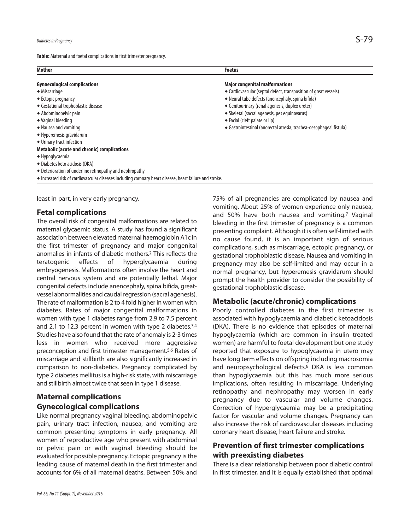Table: Maternal and foetal complications in first trimester pregnancy.

| <b>Mother</b>                                                                                           | <b>Foetus</b>                                                       |
|---------------------------------------------------------------------------------------------------------|---------------------------------------------------------------------|
| <b>Gynaecological complications</b>                                                                     | <b>Major congenital malformations</b>                               |
| $\bullet$ Miscarriage                                                                                   | • Cardiovascular (septal defect, transposition of great vessels)    |
| $\triangle$ Ectopic pregnancy                                                                           | ◆ Neural tube defects (anencephaly, spina bifida)                   |
| ◆ Gestational trophoblastic disease                                                                     | ◆ Genitourinary (renal agenesis, duplex ureter)                     |
| ◆ Abdominopelvic pain                                                                                   | • Skeletal (sacral agenesis, pes equinovarus)                       |
| ◆ Vaginal bleeding                                                                                      | ◆ Facial (cleft palate or lip)                                      |
| • Nausea and vomiting                                                                                   | ◆ Gastrointestinal (anorectal atresia, trachea-oesophageal fistula) |
| ◆ Hyperemesis gravidarum                                                                                |                                                                     |
| ◆ Urinary tract infection                                                                               |                                                                     |
| <b>Metabolic (acute and chronic) complications</b>                                                      |                                                                     |
| $\bullet$ Hypoglycaemia                                                                                 |                                                                     |
| ◆ Diabetes keto acidosis (DKA)                                                                          |                                                                     |
| • Deterioration of underline retinopathy and nephropathy                                                |                                                                     |
| • Increased risk of cardiovascular diseases including coronary heart disease, heart failure and stroke. |                                                                     |

least in part, in very early pregnancy.

### **Fetal complications**

The overall risk of congenital malformations are related to maternal glycaemic status. A study has found a significant association between elevated maternal haemoglobin A1c in the first trimester of pregnancy and major congenital anomalies in infants of diabetic mothers. <sup>2</sup> This reflects the teratogenic effects of hyperglycaemia during embryogenesis. Malformations often involve the heart and central nervous system and are potentially lethal. Major congenital defects include anencephaly, spina bifida, greatvessel abnormalities and caudal regression (sacral agenesis). The rate of malformation is 2 to 4 fold higher in women with diabetes. Rates of major congenital malformations in women with type 1 diabetes range from 2.9 to 7.5 percent and 2.1 to 12.3 percent in women with type 2 diabetes.<sup>3,4</sup> Studies have also found that the rate of anomaly is 2-3 times less in women who received more aggressive preconception and first trimester management.<sup>5,6</sup> Rates of miscarriage and stillbirth are also significantly increased in comparison to non-diabetics. Pregnancy complicated by type 2 diabetes mellitus is a high-risk state, with miscarriage and stillbirth almost twice that seen in type 1 disease.

# **Maternal complications Gynecological complications**

Like normal pregnancy vaginal bleeding, abdominopelvic pain, urinary tract infection, nausea, and vomiting are common presenting symptoms in early pregnancy. All women of reproductive age who present with abdominal or pelvic pain or with vaginal bleeding should be evaluated for possible pregnancy. Ectopic pregnancy isthe leading cause of maternal death in the first trimester and accounts for 6% of all maternal deaths. Between 50% and

75% of all pregnancies are complicated by nausea and vomiting. About 25% of women experience only nausea, and 50% have both nausea and vomiting. <sup>7</sup> Vaginal bleeding in the first trimester of pregnancy is a common presenting complaint. Although it is often self-limited with no cause found, it is an important sign of serious complications, such as miscarriage, ectopic pregnancy, or gestational trophoblastic disease. Nausea and vomiting in pregnancy may also be self-limited and may occur in a normal pregnancy, but hyperemesis gravidarum should prompt the health provider to consider the possibility of gestational trophoblastic disease.

### **Metabolic (acute/chronic) complications**

Poorly controlled diabetes in the first trimester is associated with hypoglycaemia and diabetic ketoacidosis (DKA). There is no evidence that episodes of maternal hypoglycaemia (which are common in insulin treated women) are harmful to foetal development but one study reported that exposure to hypoglycaemia in utero may have long term effects on offspring including macrosomia and neuropsychological defects. <sup>8</sup> DKA is less common than hypoglycaemia but this has much more serious implications, often resulting in miscarriage. Underlying retinopathy and nephropathy may worsen in early pregnancy due to vascular and volume changes. Correction of hyperglycaemia may be a precipitating factor for vascular and volume changes. Pregnancy can also increase the risk of cardiovascular diseases including coronary heart disease, heart failure and stroke.

# **Prevention of first trimester complications with preexisting diabetes**

There is a clear relationship between poor diabetic control in first trimester, and it is equally established that optimal